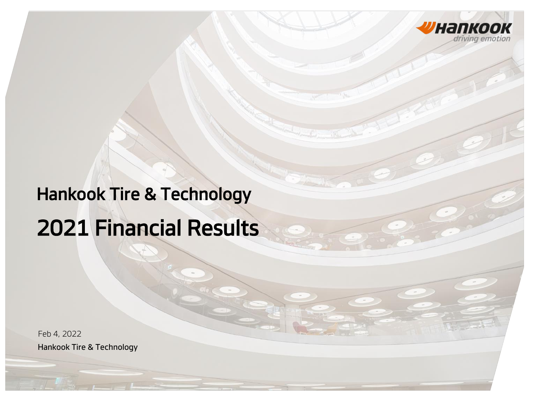

# Hankook Tire & Technology 2021 Financial Results

Hankook Tire & Technology Feb 4, 2022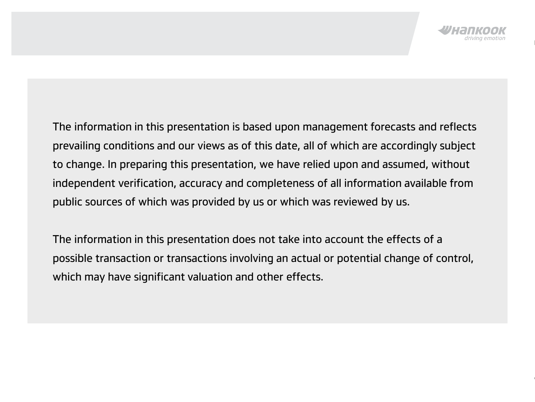The information in this presentation is based upon management forecasts and reflects prevailing conditions and our views as of this date, all of which are accordingly subject to change. In preparing this presentation, we have relied upon and assumed, without independent verification, accuracy and completeness of all information available from public sources of which was provided by us or which was reviewed by us.

The information in this presentation does not take into account the effects of a possible transaction or transactions involving an actual or potential change of control, which may have significant valuation and other effects.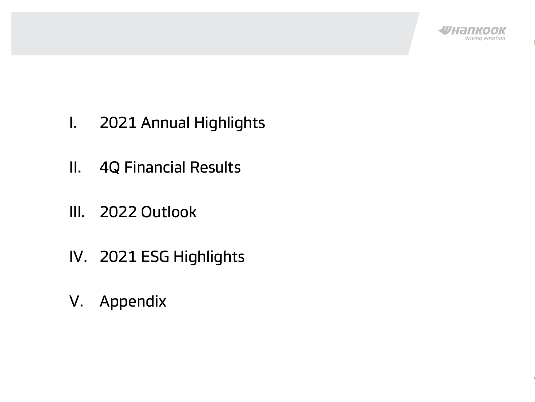

- I. 2021 Annual Highlights
- II. 4Q Financial Results
- III. 2022 Outlook
- IV. 2021 ESG Highlights
- V. Appendix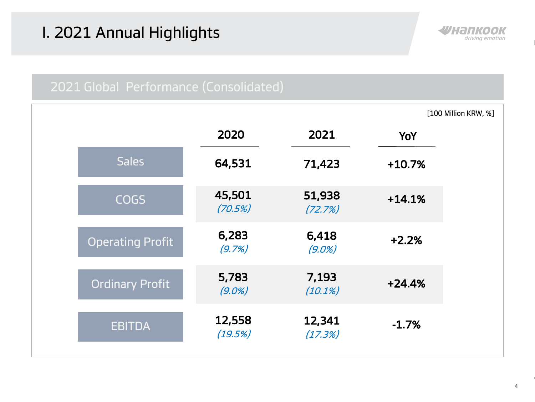## I. 2021 Annual Highlights



|                         |                    |                    |          | [100 Million KRW, %] |
|-------------------------|--------------------|--------------------|----------|----------------------|
|                         | 2020               | 2021               | YoY      |                      |
| <b>Sales</b>            | 64,531             | 71,423             | $+10.7%$ |                      |
| <b>COGS</b>             | 45,501<br>(70.5%)  | 51,938<br>(72.7%)  | $+14.1%$ |                      |
| <b>Operating Profit</b> | 6,283<br>(9.7%)    | 6,418<br>$(9.0\%)$ | $+2.2%$  |                      |
| <b>Ordinary Profit</b>  | 5,783<br>$(9.0\%)$ | 7,193<br>(10.1%)   | $+24.4%$ |                      |
| <b>EBITDA</b>           | 12,558<br>(19.5%)  | 12,341<br>(17.3%)  | $-1.7%$  |                      |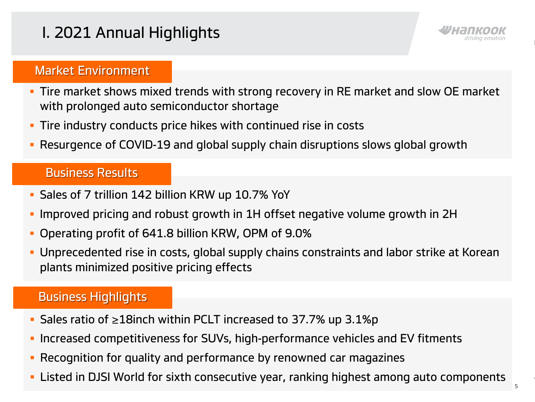## I. 2021 Annual Highlights



#### Market Environment

- Tire market shows mixed trends with strong recovery in RE market and slow OE market with prolonged auto semiconductor shortage
- **Tire industry conducts price hikes with continued rise in costs**
- Resurgence of COVID-19 and global supply chain disruptions slows global growth

#### Business Results

- Sales of 7 trillion 142 billion KRW up 10.7% YoY
- Improved pricing and robust growth in 1H offset negative volume growth in 2H
- Operating profit of 641.8 billion KRW, OPM of 9.0%
- **Unprecedented rise in costs, global supply chains constraints and labor strike at Korean** plants minimized positive pricing effects

### Business Highlights

- Sales ratio of ≥18inch within PCLT increased to 37.7% up 3.1%p
- **Increased competitiveness for SUVs, high-performance vehicles and EV fitments**
- Recognition for quality and performance by renowned car magazines
- **EXT** Listed in DJSI World for sixth consecutive year, ranking highest among auto components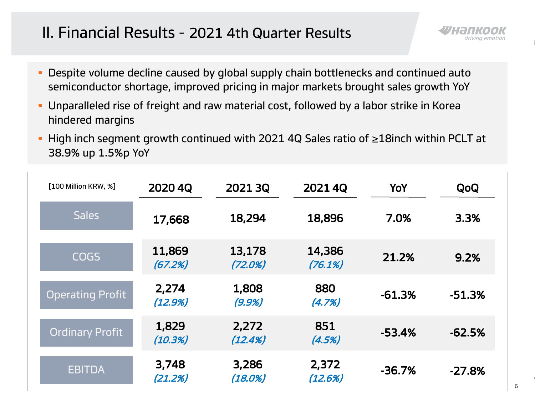## II. Financial Results – 2021 4th Quarter Results

- **Despite volume decline caused by global supply chain bottlenecks and continued auto** semiconductor shortage, improved pricing in major markets brought sales growth YoY
- Unparalleled rise of freight and raw material cost, followed by a labor strike in Korea hindered margins
- High inch segment growth continued with 2021 4Q Sales ratio of ≥18inch within PCLT at 38.9% up 1.5%p YoY

| [100 Million KRW, %]    | 2020 4Q           | 2021 3Q           | 2021 4Q           | YoY      | QoQ      |
|-------------------------|-------------------|-------------------|-------------------|----------|----------|
| <b>Sales</b>            | 17,668            | 18,294            | 18,896            | 7.0%     | 3.3%     |
| <b>COGS</b>             | 11,869<br>(67.2%) | 13,178<br>(72.0%) | 14,386<br>(76.1%) | 21.2%    | 9.2%     |
| <b>Operating Profit</b> | 2,274<br>(12.9%)  | 1,808<br>(9.9%)   | 880<br>(4.7%)     | $-61.3%$ | $-51.3%$ |
| Ordinary Profit         | 1,829<br>(10.3%)  | 2,272<br>(12.4%)  | 851<br>(4.5%)     | $-53.4%$ | $-62.5%$ |
| <b>EBITDA</b>           | 3,748<br>(21.2%)  | 3,286<br>(18.0%)  | 2,372<br>(12.6%)  | $-36.7%$ | $-27.8%$ |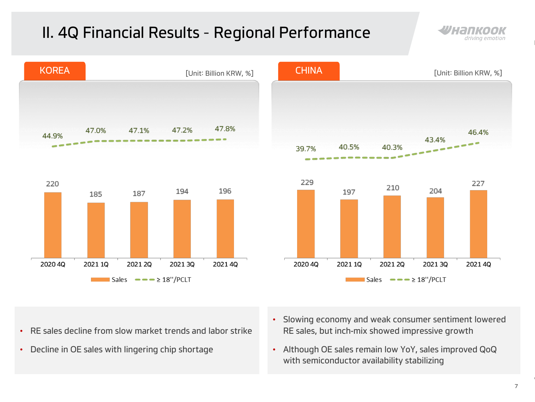## II. 4Q Financial Results – Regional Performance







- RE sales decline from slow market trends and labor strike
- Decline in OE sales with lingering chip shortage
- Slowing economy and weak consumer sentiment lowered RE sales, but inch-mix showed impressive growth
- Although OE sales remain low YoY, sales improved QoQ with semiconductor availability stabilizing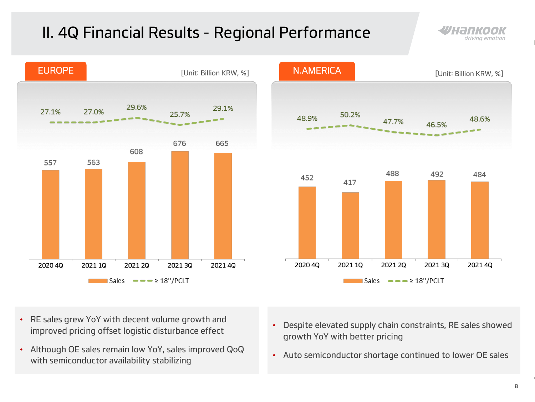## II. 4Q Financial Results – Regional Performance







- RE sales grew YoY with decent volume growth and improved pricing offset logistic disturbance effect
- Although OE sales remain low YoY, sales improved QoQ with semiconductor availability stabilizing
- Despite elevated supply chain constraints, RE sales showed growth YoY with better pricing
- Auto semiconductor shortage continued to lower OE sales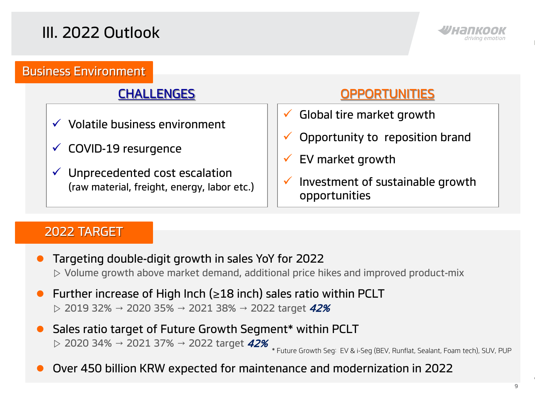

#### Business Environment

- $\checkmark$  Volatile business environment
- $\checkmark$  COVID-19 resurgence
- $\checkmark$  Unprecedented cost escalation (raw material, freight, energy, labor etc.)

### CHALLENGES OPPORTUNITIES

- Global tire market growth
- Opportunity to reposition brand
- $\checkmark$  EV market growth
- $\checkmark$  Investment of sustainable growth opportunities

#### 2022 TARGET

- Targeting double-digit growth in sales YoY for 2022  $\triangleright$  Volume growth above market demand, additional price hikes and improved product-mix
- Further increase of High Inch ( $\geq$ 18 inch) sales ratio within PCLT  $\triangleright$  2019 32% → 2020 35% → 2021 38% → 2022 target 42%
- Sales ratio target of Future Growth Segment\* within PCLT  $\rhd$  2020 34% → 2021 37% → 2022 target 42%

\* Future Growth Seg: EV & i-Seg (BEV, Runflat, Sealant, Foam tech), SUV, PUP

Over 450 billion KRW expected for maintenance and modernization in 2022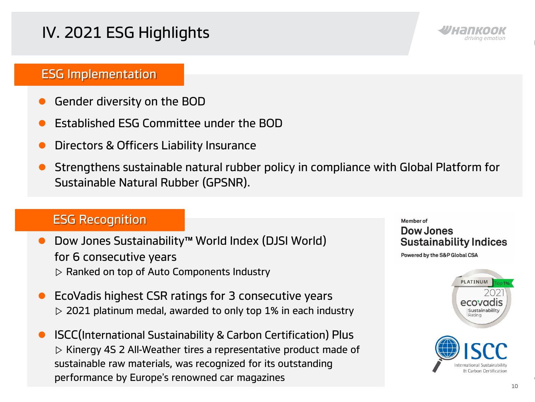## IV. 2021 ESG Highlights



#### ESG Implementation

- Gender diversity on the BOD
- Established ESG Committee under the BOD
- Directors & Officers Liability Insurance
- Strengthens sustainable natural rubber policy in compliance with Global Platform for Sustainable Natural Rubber (GPSNR).

#### ESG Recognition

- Dow Jones Sustainability™ World Index (DJSI World) for 6 consecutive years ▷ Ranked on top of Auto Components Industry
- EcoVadis highest CSR ratings for 3 consecutive years  $\triangleright$  2021 platinum medal, awarded to only top 1% in each industry
- ISCC(International Sustainability & Carbon Certification) Plus ▷ Kinergy 4S 2 All-Weather tires a representative product made of sustainable raw materials, was recognized for its outstanding performance by Europe's renowned car magazines

#### Member of

#### Dow Jones **Sustainability Indices**

Powered by the S&P Global CSA

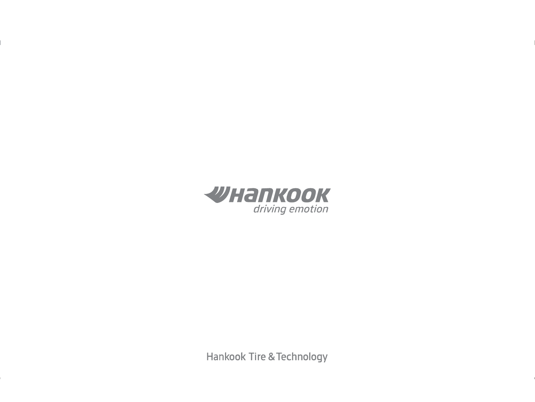

**Hankook Tire & Technology**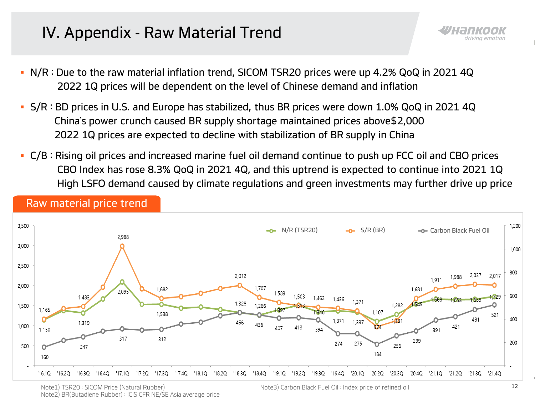## IV. Appendix - Raw Material Trend

- N/R : Due to the raw material inflation trend, SICOM TSR20 prices were up 4.2% QoQ in 2021 4Q 2022 1Q prices will be dependent on the level of Chinese demand and inflation
- S/R : BD prices in U.S. and Europe has stabilized, thus BR prices were down 1.0% QoQ in 2021 4Q China's power crunch caused BR supply shortage maintained prices above\$2,000 2022 1Q prices are expected to decline with stabilization of BR supply in China
- C/B : Rising oil prices and increased marine fuel oil demand continue to push up FCC oil and CBO prices CBO Index has rose 8.3% QoQ in 2021 4Q, and this uptrend is expected to continue into 2021 1Q High LSFO demand caused by climate regulations and green investments may further drive up price



#### Raw material price trend

Note1) TSR20 : SICOM Price (Natural Rubber) Note3) Carbon Black Fuel Oil : Index price of refined oil Note2) BR(Butadiene Rubber) : ICIS CFR NE/SE Asia average price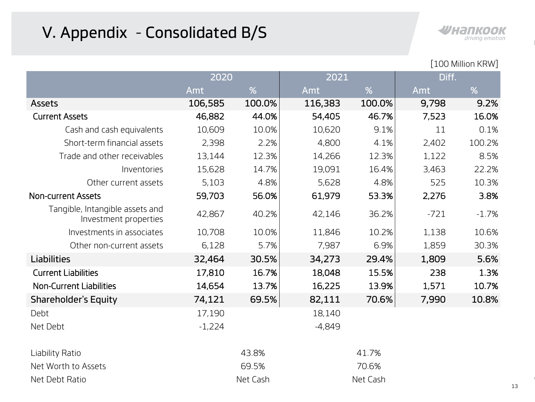## V. Appendix – Consolidated B/S



|  | [100 Million KRW] |  |
|--|-------------------|--|
|--|-------------------|--|

|                                                          | 2020     |        | 2021     |        | Diff.  |         |  |
|----------------------------------------------------------|----------|--------|----------|--------|--------|---------|--|
|                                                          | Amt      | %      | Amt      | %      | Amt    | %       |  |
| <b>Assets</b>                                            | 106,585  | 100.0% | 116,383  | 100.0% | 9,798  | 9.2%    |  |
| <b>Current Assets</b>                                    | 46,882   | 44.0%  | 54,405   | 46.7%  | 7,523  | 16.0%   |  |
| Cash and cash equivalents                                | 10,609   | 10.0%  | 10,620   | 9.1%   | 11     | 0.1%    |  |
| Short-term financial assets                              | 2,398    | 2.2%   | 4,800    | 4.1%   | 2,402  | 100.2%  |  |
| Trade and other receivables                              | 13,144   | 12.3%  | 14,266   | 12.3%  | 1,122  | 8.5%    |  |
| Inventories                                              | 15,628   | 14.7%  | 19,091   | 16.4%  | 3,463  | 22.2%   |  |
| Other current assets                                     | 5,103    | 4.8%   | 5,628    | 4.8%   | 525    | 10.3%   |  |
| <b>Non-current Assets</b>                                | 59,703   | 56.0%  | 61,979   | 53.3%  | 2,276  | 3.8%    |  |
| Tangible, Intangible assets and<br>Investment properties | 42,867   | 40.2%  | 42,146   | 36.2%  | $-721$ | $-1.7%$ |  |
| Investments in associates                                | 10,708   | 10.0%  | 11,846   | 10.2%  | 1,138  | 10.6%   |  |
| Other non-current assets                                 | 6,128    | 5.7%   | 7,987    | 6.9%   | 1,859  | 30.3%   |  |
| <b>Liabilities</b>                                       | 32,464   | 30.5%  | 34,273   | 29.4%  | 1,809  | 5.6%    |  |
| <b>Current Liabilities</b>                               | 17,810   | 16.7%  | 18,048   | 15.5%  | 238    | 1.3%    |  |
| <b>Non-Current Liabilities</b>                           | 14,654   | 13.7%  | 16,225   | 13.9%  | 1,571  | 10.7%   |  |
| <b>Shareholder's Equity</b>                              | 74,121   | 69.5%  | 82,111   | 70.6%  | 7,990  | 10.8%   |  |
| Debt                                                     | 17,190   |        | 18,140   |        |        |         |  |
| Net Debt                                                 | $-1,224$ |        | $-4,849$ |        |        |         |  |
| Liability Ratio                                          | 43.8%    |        | 41.7%    |        |        |         |  |
| Net Worth to Assets                                      |          | 69.5%  | 70.6%    |        |        |         |  |
| Net Debt Ratio                                           | Net Cash |        | Net Cash |        |        |         |  |